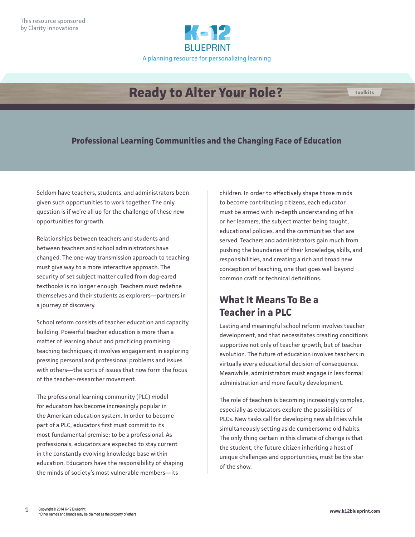

# **Ready to Alter Your Role?**

#### **Professional Learning Communities and the Changing Face of Education**

Seldom have teachers, students, and administrators been given such opportunities to work together. The only question is if we're all up for the challenge of these new opportunities for growth.

Relationships between teachers and students and between teachers and school administrators have changed. The one-way transmission approach to teaching must give way to a more interactive approach. The security of set subject matter culled from dog-eared textbooks is no longer enough. Teachers must redefine themselves and their students as explorers—partners in a journey of discovery.

School reform consists of teacher education and capacity building. Powerful teacher education is more than a matter of learning about and practicing promising teaching techniques; it involves engagement in exploring pressing personal and professional problems and issues with others—the sorts of issues that now form the focus of the teacher-researcher movement.

The professional learning community (PLC) model for educators has become increasingly popular in the American education system. In order to become part of a PLC, educators first must commit to its most fundamental premise: to be a professional. As professionals, educators are expected to stay current in the constantly evolving knowledge base within education. Educators have the responsibility of shaping the minds of society's most vulnerable members—its

children. In order to effectively shape those minds to become contributing citizens, each educator must be armed with in-depth understanding of his or her learners, the subject matter being taught, educational policies, and the communities that are served. Teachers and administrators gain much from pushing the boundaries of their knowledge, skills, and responsibilities, and creating a rich and broad new conception of teaching, one that goes well beyond common craft or technical definitions.

# **What It Means To Be a Teacher in a PLC**

Lasting and meaningful school reform involves teacher development, and that necessitates creating conditions supportive not only of teacher growth, but of teacher evolution. The future of education involves teachers in virtually every educational decision of consequence. Meanwhile, administrators must engage in less formal administration and more faculty development.

The role of teachers is becoming increasingly complex, especially as educators explore the possibilities of PLCs. New tasks call for developing new abilities while simultaneously setting aside cumbersome old habits. The only thing certain in this climate of change is that the student, the future citizen inheriting a host of unique challenges and opportunities, must be the star of the show.

**toolkits**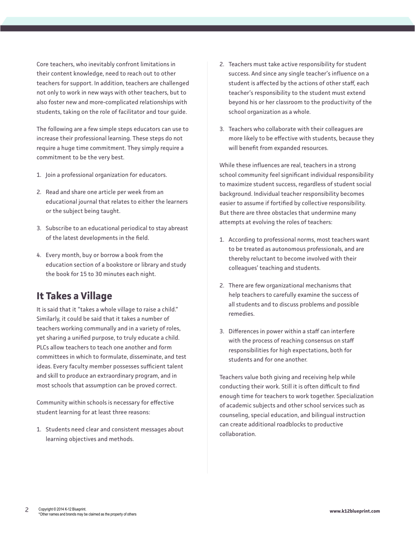Core teachers, who inevitably confront limitations in their content knowledge, need to reach out to other teachers for support. In addition, teachers are challenged not only to work in new ways with other teachers, but to also foster new and more-complicated relationships with students, taking on the role of facilitator and tour guide.

The following are a few simple steps educators can use to increase their professional learning. These steps do not require a huge time commitment. They simply require a commitment to be the very best.

- 1. Join a professional organization for educators.
- 2. Read and share one article per week from an educational journal that relates to either the learners or the subject being taught.
- 3. Subscribe to an educational periodical to stay abreast of the latest developments in the field.
- 4. Every month, buy or borrow a book from the education section of a bookstore or library and study the book for 15 to 30 minutes each night.

## **It Takes a Village**

It is said that it "takes a whole village to raise a child." Similarly, it could be said that it takes a number of teachers working communally and in a variety of roles, yet sharing a unified purpose, to truly educate a child. PLCs allow teachers to teach one another and form committees in which to formulate, disseminate, and test ideas. Every faculty member possesses sufficient talent and skill to produce an extraordinary program, and in most schools that assumption can be proved correct.

Community within schools is necessary for effective student learning for at least three reasons:

1. Students need clear and consistent messages about learning objectives and methods.

- 2. Teachers must take active responsibility for student success. And since any single teacher's influence on a student is affected by the actions of other staff, each teacher's responsibility to the student must extend beyond his or her classroom to the productivity of the school organization as a whole.
- 3. Teachers who collaborate with their colleagues are more likely to be effective with students, because they will benefit from expanded resources.

While these influences are real, teachers in a strong school community feel significant individual responsibility to maximize student success, regardless of student social background. Individual teacher responsibility becomes easier to assume if fortified by collective responsibility. But there are three obstacles that undermine many attempts at evolving the roles of teachers:

- 1. According to professional norms, most teachers want to be treated as autonomous professionals, and are thereby reluctant to become involved with their colleagues' teaching and students.
- 2. There are few organizational mechanisms that help teachers to carefully examine the success of all students and to discuss problems and possible remedies.
- 3. Differences in power within a staff can interfere with the process of reaching consensus on staff responsibilities for high expectations, both for students and for one another.

Teachers value both giving and receiving help while conducting their work. Still it is often difficult to find enough time for teachers to work together. Specialization of academic subjects and other school services such as counseling, special education, and bilingual instruction can create additional roadblocks to productive collaboration.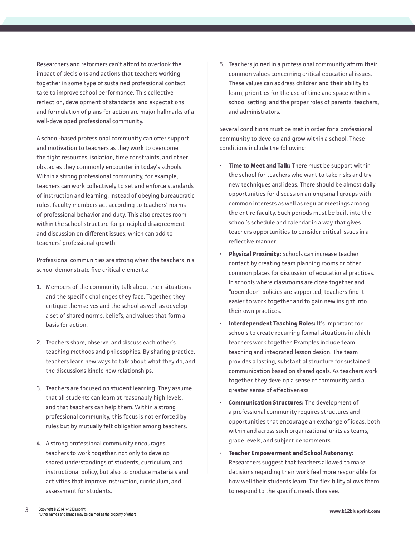Researchers and reformers can't afford to overlook the impact of decisions and actions that teachers working together in some type of sustained professional contact take to improve school performance. This collective reflection, development of standards, and expectations and formulation of plans for action are major hallmarks of a well-developed professional community.

A school-based professional community can offer support and motivation to teachers as they work to overcome the tight resources, isolation, time constraints, and other obstacles they commonly encounter in today's schools. Within a strong professional community, for example, teachers can work collectively to set and enforce standards of instruction and learning. Instead of obeying bureaucratic rules, faculty members act according to teachers' norms of professional behavior and duty. This also creates room within the school structure for principled disagreement and discussion on different issues, which can add to teachers' professional growth.

Professional communities are strong when the teachers in a school demonstrate five critical elements:

- 1. Members of the community talk about their situations and the specific challenges they face. Together, they critique themselves and the school as well as develop a set of shared norms, beliefs, and values that form a basis for action.
- 2. Teachers share, observe, and discuss each other's teaching methods and philosophies. By sharing practice, teachers learn new ways to talk about what they do, and the discussions kindle new relationships.
- 3. Teachers are focused on student learning. They assume that all students can learn at reasonably high levels, and that teachers can help them. Within a strong professional community, this focus is not enforced by rules but by mutually felt obligation among teachers.
- 4. A strong professional community encourages teachers to work together, not only to develop shared understandings of students, curriculum, and instructional policy, but also to produce materials and activities that improve instruction, curriculum, and assessment for students.

5. Teachers joined in a professional community affirm their common values concerning critical educational issues. These values can address children and their ability to learn; priorities for the use of time and space within a school setting; and the proper roles of parents, teachers, and administrators.

Several conditions must be met in order for a professional community to develop and grow within a school. These conditions include the following:

- **Time to Meet and Talk:** There must be support within the school for teachers who want to take risks and try new techniques and ideas. There should be almost daily opportunities for discussion among small groups with common interests as well as regular meetings among the entire faculty. Such periods must be built into the school's schedule and calendar in a way that gives teachers opportunities to consider critical issues in a reflective manner.
- **Physical Proximity:** Schools can increase teacher contact by creating team planning rooms or other common places for discussion of educational practices. In schools where classrooms are close together and "open door" policies are supported, teachers find it easier to work together and to gain new insight into their own practices.
- **Interdependent Teaching Roles:** It's important for schools to create recurring formal situations in which teachers work together. Examples include team teaching and integrated lesson design. The team provides a lasting, substantial structure for sustained communication based on shared goals. As teachers work together, they develop a sense of community and a greater sense of effectiveness.
- **Communication Structures:** The development of a professional community requires structures and opportunities that encourage an exchange of ideas, both within and across such organizational units as teams, grade levels, and subject departments.
- **Teacher Empowerment and School Autonomy:** Researchers suggest that teachers allowed to make decisions regarding their work feel more responsible for how well their students learn. The flexibility allows them to respond to the specific needs they see.